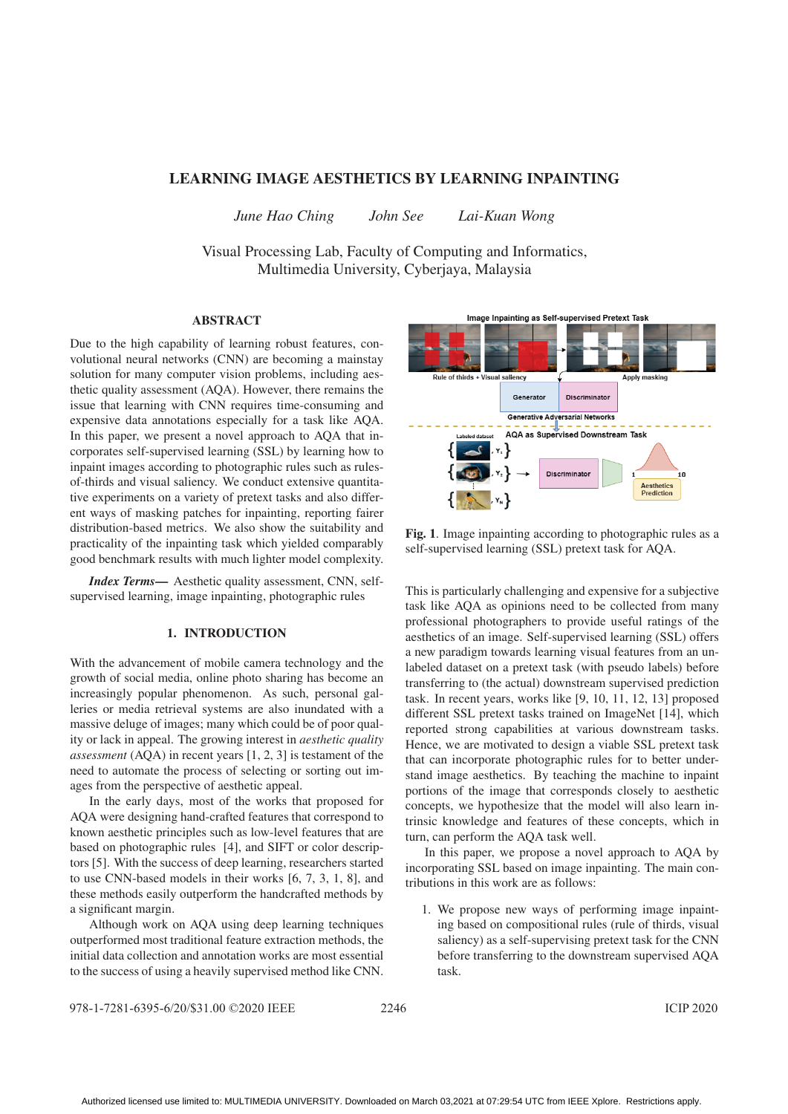# LEARNING IMAGE AESTHETICS BY LEARNING INPAINTING

*June Hao Ching John See Lai-Kuan Wong*

Visual Processing Lab, Faculty of Computing and Informatics, Multimedia University, Cyberjaya, Malaysia

### ABSTRACT

Due to the high capability of learning robust features, convolutional neural networks (CNN) are becoming a mainstay solution for many computer vision problems, including aesthetic quality assessment (AQA). However, there remains the issue that learning with CNN requires time-consuming and expensive data annotations especially for a task like AQA. In this paper, we present a novel approach to AQA that incorporates self-supervised learning (SSL) by learning how to inpaint images according to photographic rules such as rulesof-thirds and visual saliency. We conduct extensive quantitative experiments on a variety of pretext tasks and also different ways of masking patches for inpainting, reporting fairer distribution-based metrics. We also show the suitability and practicality of the inpainting task which yielded comparably good benchmark results with much lighter model complexity.

*Index Terms*— Aesthetic quality assessment, CNN, selfsupervised learning, image inpainting, photographic rules

## 1. INTRODUCTION

With the advancement of mobile camera technology and the growth of social media, online photo sharing has become an increasingly popular phenomenon. As such, personal galleries or media retrieval systems are also inundated with a massive deluge of images; many which could be of poor quality or lack in appeal. The growing interest in *aesthetic quality assessment* (AQA) in recent years [1, 2, 3] is testament of the need to automate the process of selecting or sorting out images from the perspective of aesthetic appeal.

In the early days, most of the works that proposed for AQA were designing hand-crafted features that correspond to known aesthetic principles such as low-level features that are based on photographic rules [4], and SIFT or color descriptors [5]. With the success of deep learning, researchers started to use CNN-based models in their works [6, 7, 3, 1, 8], and these methods easily outperform the handcrafted methods by a significant margin.

Although work on AQA using deep learning techniques outperformed most traditional feature extraction methods, the initial data collection and annotation works are most essential to the success of using a heavily supervised method like CNN.



Fig. 1. Image inpainting according to photographic rules as a self-supervised learning (SSL) pretext task for AQA.

This is particularly challenging and expensive for a subjective task like AQA as opinions need to be collected from many professional photographers to provide useful ratings of the aesthetics of an image. Self-supervised learning (SSL) offers a new paradigm towards learning visual features from an unlabeled dataset on a pretext task (with pseudo labels) before transferring to (the actual) downstream supervised prediction task. In recent years, works like [9, 10, 11, 12, 13] proposed different SSL pretext tasks trained on ImageNet [14], which reported strong capabilities at various downstream tasks. Hence, we are motivated to design a viable SSL pretext task that can incorporate photographic rules for to better understand image aesthetics. By teaching the machine to inpaint portions of the image that corresponds closely to aesthetic concepts, we hypothesize that the model will also learn intrinsic knowledge and features of these concepts, which in turn, can perform the AQA task well.

In this paper, we propose a novel approach to AQA by incorporating SSL based on image inpainting. The main contributions in this work are as follows:

1. We propose new ways of performing image inpainting based on compositional rules (rule of thirds, visual saliency) as a self-supervising pretext task for the CNN before transferring to the downstream supervised AQA task.

 $978 - 1 - 7281 - 6395 - 6/20$ /\$31.00  $©202$ 0 IEEE 2246 1CIP 2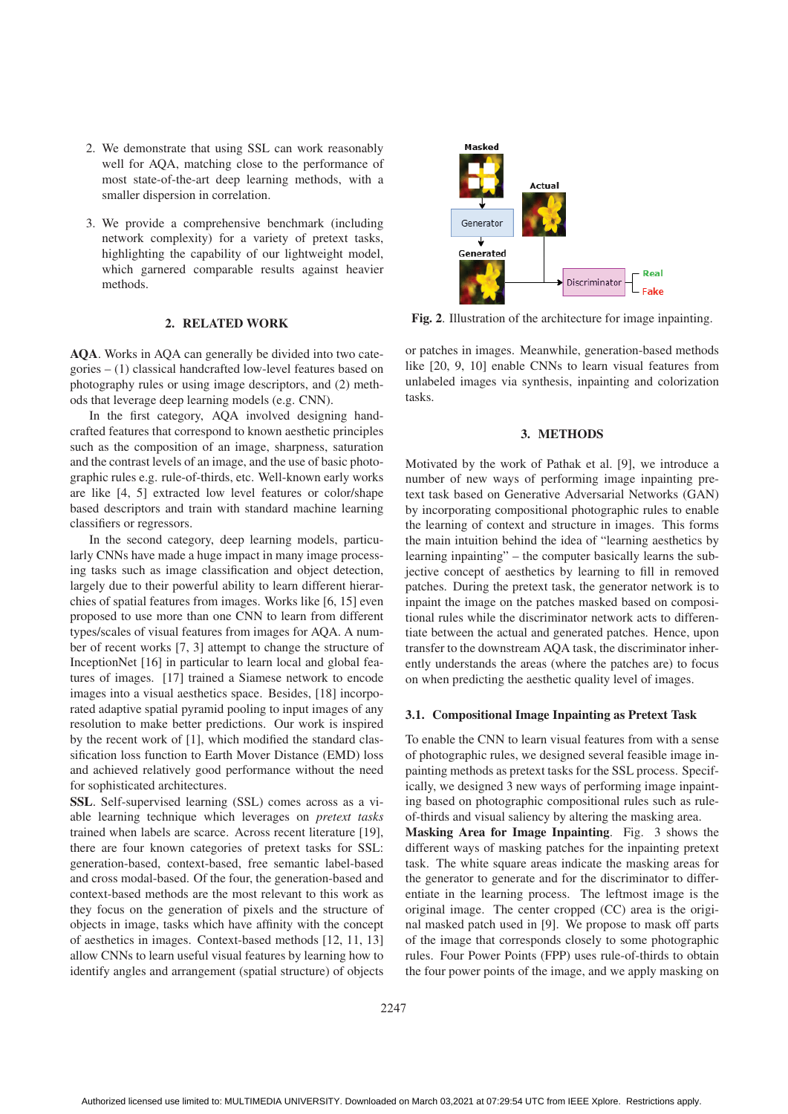- 2. We demonstrate that using SSL can work reasonably well for AQA, matching close to the performance of most state-of-the-art deep learning methods, with a smaller dispersion in correlation.
- 3. We provide a comprehensive benchmark (including network complexity) for a variety of pretext tasks, highlighting the capability of our lightweight model, which garnered comparable results against heavier methods.

# 2. RELATED WORK

AQA. Works in AQA can generally be divided into two categories – (1) classical handcrafted low-level features based on photography rules or using image descriptors, and (2) methods that leverage deep learning models (e.g. CNN).

In the first category, AQA involved designing handcrafted features that correspond to known aesthetic principles such as the composition of an image, sharpness, saturation and the contrast levels of an image, and the use of basic photographic rules e.g. rule-of-thirds, etc. Well-known early works are like [4, 5] extracted low level features or color/shape based descriptors and train with standard machine learning classifiers or regressors.

In the second category, deep learning models, particularly CNNs have made a huge impact in many image processing tasks such as image classification and object detection, largely due to their powerful ability to learn different hierarchies of spatial features from images. Works like [6, 15] even proposed to use more than one CNN to learn from different types/scales of visual features from images for AQA. A number of recent works [7, 3] attempt to change the structure of InceptionNet [16] in particular to learn local and global features of images. [17] trained a Siamese network to encode images into a visual aesthetics space. Besides, [18] incorporated adaptive spatial pyramid pooling to input images of any resolution to make better predictions. Our work is inspired by the recent work of [1], which modified the standard classification loss function to Earth Mover Distance (EMD) loss and achieved relatively good performance without the need for sophisticated architectures.

SSL. Self-supervised learning (SSL) comes across as a viable learning technique which leverages on *pretext tasks* trained when labels are scarce. Across recent literature [19], there are four known categories of pretext tasks for SSL: generation-based, context-based, free semantic label-based and cross modal-based. Of the four, the generation-based and context-based methods are the most relevant to this work as they focus on the generation of pixels and the structure of objects in image, tasks which have affinity with the concept of aesthetics in images. Context-based methods [12, 11, 13] allow CNNs to learn useful visual features by learning how to identify angles and arrangement (spatial structure) of objects



Fig. 2. Illustration of the architecture for image inpainting.

or patches in images. Meanwhile, generation-based methods like [20, 9, 10] enable CNNs to learn visual features from unlabeled images via synthesis, inpainting and colorization tasks.

### 3. METHODS

Motivated by the work of Pathak et al. [9], we introduce a number of new ways of performing image inpainting pretext task based on Generative Adversarial Networks (GAN) by incorporating compositional photographic rules to enable the learning of context and structure in images. This forms the main intuition behind the idea of "learning aesthetics by learning inpainting" – the computer basically learns the subjective concept of aesthetics by learning to fill in removed patches. During the pretext task, the generator network is to inpaint the image on the patches masked based on compositional rules while the discriminator network acts to differentiate between the actual and generated patches. Hence, upon transfer to the downstream AQA task, the discriminator inherently understands the areas (where the patches are) to focus on when predicting the aesthetic quality level of images.

#### 3.1. Compositional Image Inpainting as Pretext Task

To enable the CNN to learn visual features from with a sense of photographic rules, we designed several feasible image inpainting methods as pretext tasks for the SSL process. Specifically, we designed 3 new ways of performing image inpainting based on photographic compositional rules such as ruleof-thirds and visual saliency by altering the masking area.

Masking Area for Image Inpainting. Fig. 3 shows the different ways of masking patches for the inpainting pretext task. The white square areas indicate the masking areas for the generator to generate and for the discriminator to differentiate in the learning process. The leftmost image is the original image. The center cropped (CC) area is the original masked patch used in [9]. We propose to mask off parts of the image that corresponds closely to some photographic rules. Four Power Points (FPP) uses rule-of-thirds to obtain the four power points of the image, and we apply masking on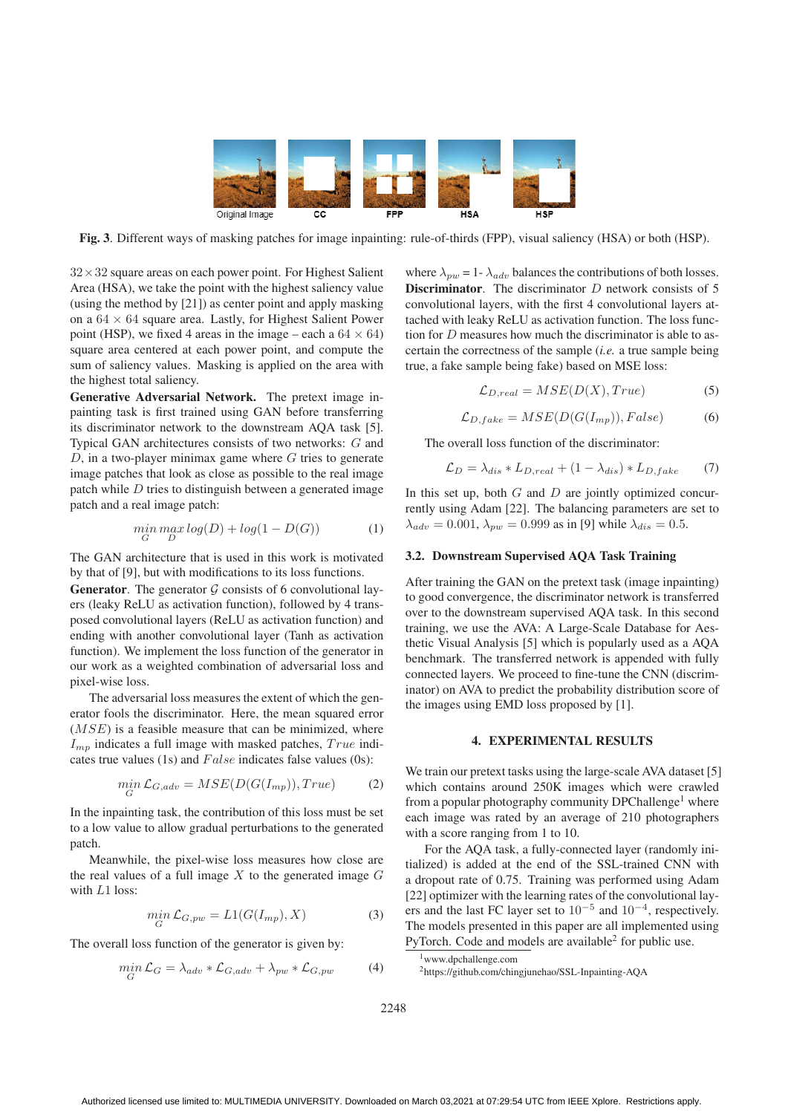

Fig. 3. Different ways of masking patches for image inpainting: rule-of-thirds (FPP), visual saliency (HSA) or both (HSP).

 $32 \times 32$  square areas on each power point. For Highest Salient Area (HSA), we take the point with the highest saliency value (using the method by [21]) as center point and apply masking on a  $64 \times 64$  square area. Lastly, for Highest Salient Power point (HSP), we fixed 4 areas in the image – each a  $64 \times 64$ ) square area centered at each power point, and compute the sum of saliency values. Masking is applied on the area with the highest total saliency.

Generative Adversarial Network. The pretext image inpainting task is first trained using GAN before transferring its discriminator network to the downstream AQA task [5]. Typical GAN architectures consists of two networks: G and  $D$ , in a two-player minimax game where  $G$  tries to generate image patches that look as close as possible to the real image patch while  $D$  tries to distinguish between a generated image patch and a real image patch:

$$
\min_{G} \max_{D} log(D) + log(1 - D(G))
$$
 (1)

The GAN architecture that is used in this work is motivated by that of [9], but with modifications to its loss functions.

**Generator.** The generator  $G$  consists of 6 convolutional layers (leaky ReLU as activation function), followed by 4 transposed convolutional layers (ReLU as activation function) and ending with another convolutional layer (Tanh as activation function). We implement the loss function of the generator in our work as a weighted combination of adversarial loss and pixel-wise loss.

The adversarial loss measures the extent of which the generator fools the discriminator. Here, the mean squared error  $(MSE)$  is a feasible measure that can be minimized, where  $I_{mp}$  indicates a full image with masked patches,  $True$  indicates true values (1s) and  $False$  indicates false values (0s):

$$
\min_{G} \mathcal{L}_{G,adv} = MSE(D(G(I_{mp})), True) \tag{2}
$$

In the inpainting task, the contribution of this loss must be set to a low value to allow gradual perturbations to the generated patch.

Meanwhile, the pixel-wise loss measures how close are the real values of a full image  $X$  to the generated image  $G$ with L1 loss:

$$
\min_{G} \mathcal{L}_{G, pw} = L1(G(I_{mp}), X)
$$
\n(3)

The overall loss function of the generator is given by:

$$
\min_{G} \mathcal{L}_{G} = \lambda_{adv} * \mathcal{L}_{G,adv} + \lambda_{pw} * \mathcal{L}_{G, pw}
$$
 (4)

where  $\lambda_{pw} = 1 - \lambda_{adv}$  balances the contributions of both losses. **Discriminator.** The discriminator  $D$  network consists of 5 convolutional layers, with the first 4 convolutional layers attached with leaky ReLU as activation function. The loss function for D measures how much the discriminator is able to ascertain the correctness of the sample (*i.e.* a true sample being true, a fake sample being fake) based on MSE loss:

$$
\mathcal{L}_{D,real} = MSE(D(X), True) \tag{5}
$$

$$
\mathcal{L}_{D,fake} = MSE(D(G(I_{mp})), False) \tag{6}
$$

The overall loss function of the discriminator:

$$
\mathcal{L}_D = \lambda_{dis} * L_{D,real} + (1 - \lambda_{dis}) * L_{D,fake} \tag{7}
$$

In this set up, both  $G$  and  $D$  are jointly optimized concurrently using Adam [22]. The balancing parameters are set to  $\lambda_{adv} = 0.001, \lambda_{pw} = 0.999$  as in [9] while  $\lambda_{dis} = 0.5$ .

## 3.2. Downstream Supervised AQA Task Training

After training the GAN on the pretext task (image inpainting) to good convergence, the discriminator network is transferred over to the downstream supervised AQA task. In this second training, we use the AVA: A Large-Scale Database for Aesthetic Visual Analysis [5] which is popularly used as a AQA benchmark. The transferred network is appended with fully connected layers. We proceed to fine-tune the CNN (discriminator) on AVA to predict the probability distribution score of the images using EMD loss proposed by [1].

# 4. EXPERIMENTAL RESULTS

We train our pretext tasks using the large-scale AVA dataset [5] which contains around 250K images which were crawled from a popular photography community DPChallenge<sup>1</sup> where each image was rated by an average of 210 photographers with a score ranging from 1 to 10.

For the AQA task, a fully-connected layer (randomly initialized) is added at the end of the SSL-trained CNN with a dropout rate of 0.75. Training was performed using Adam [22] optimizer with the learning rates of the convolutional layers and the last FC layer set to  $10^{-5}$  and  $10^{-4}$ , respectively. The models presented in this paper are all implemented using PyTorch. Code and models are available $<sup>2</sup>$  for public use.</sup>

2https://github.com/chingjunehao/SSL-Inpainting-AQA

<sup>1</sup>www.dpchallenge.com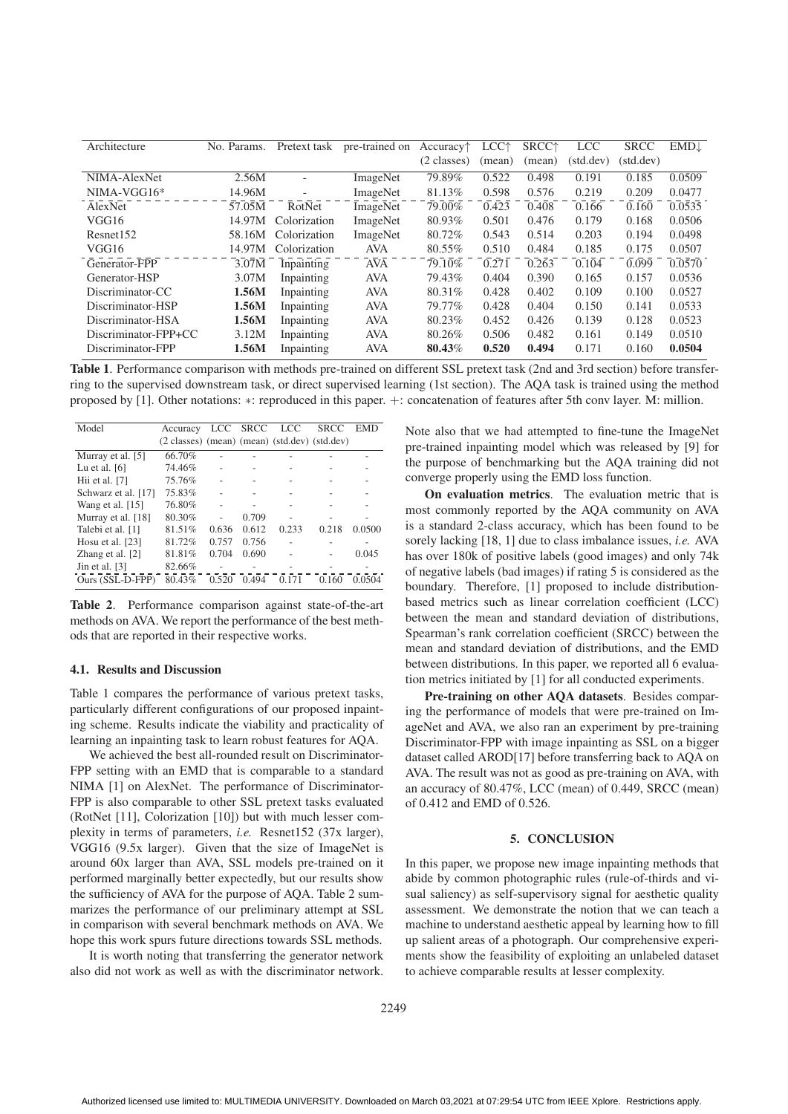| Architecture         | No. Params. | Pretext task             | pre-trained on | Accuracy <sup>†</sup> | LCC <sup>+</sup> | SRCC <sup>+</sup> | <b>LCC</b> | <b>SRCC</b> | $EMD\downarrow$ |
|----------------------|-------------|--------------------------|----------------|-----------------------|------------------|-------------------|------------|-------------|-----------------|
|                      |             |                          |                | $(2 \text{ classes})$ | (mean)           | (mean)            | (std.dev)  | (std.dev)   |                 |
| NIMA-AlexNet         | 2.56M       |                          | ImageNet       | 79.89%                | 0.522            | 0.498             | 0.191      | 0.185       | 0.0509          |
| $NIMA-VGG16*$        | 14.96M      | $\overline{\phantom{a}}$ | ImageNet       | 81.13%                | 0.598            | 0.576             | 0.219      | 0.209       | 0.0477          |
| AlexNet              | 57.05M      | RotNet                   | ImageNet       | 79.00%                | 0.423            | 0.408             | 0.166      | 0.160       | 0.0535          |
| VGG16                | 14.97M      | Colorization             | ImageNet       | 80.93%                | 0.501            | 0.476             | 0.179      | 0.168       | 0.0506          |
| Resnet152            | 58.16M      | Colorization             | ImageNet       | 80.72%                | 0.543            | 0.514             | 0.203      | 0.194       | 0.0498          |
| VGG16                | 14.97M      | Colorization             | AVA            | 80.55%                | 0.510            | 0.484             | 0.185      | 0.175       | 0.0507          |
| Generator-FPP        | 3.07M       | Inpainting               | AVA            | 79.10\%               | 0.271            | 0.263             | 0.104      | 0.099       | 0.0570          |
| Generator-HSP        | 3.07M       | Inpainting               | <b>AVA</b>     | 79.43%                | 0.404            | 0.390             | 0.165      | 0.157       | 0.0536          |
| Discriminator-CC     | 1.56M       | Inpainting               | <b>AVA</b>     | 80.31\%               | 0.428            | 0.402             | 0.109      | 0.100       | 0.0527          |
| Discriminator-HSP    | 1.56M       | Inpainting               | <b>AVA</b>     | 79.77%                | 0.428            | 0.404             | 0.150      | 0.141       | 0.0533          |
| Discriminator-HSA    | 1.56M       | Inpainting               | <b>AVA</b>     | 80.23%                | 0.452            | 0.426             | 0.139      | 0.128       | 0.0523          |
| Discriminator-FPP+CC | 3.12M       | Inpainting               | <b>AVA</b>     | 80.26%                | 0.506            | 0.482             | 0.161      | 0.149       | 0.0510          |
| Discriminator-FPP    | 1.56M       | Inpainting               | <b>AVA</b>     | 80.43%                | 0.520            | 0.494             | 0.171      | 0.160       | 0.0504          |

Table 1. Performance comparison with methods pre-trained on different SSL pretext task (2nd and 3rd section) before transferring to the supervised downstream task, or direct supervised learning (1st section). The AQA task is trained using the method proposed by [1]. Other notations: ∗: reproduced in this paper. +: concatenation of features after 5th conv layer. M: million.

| Model               | Accuracy                                      | <b>LCC</b> | <b>SRCC</b> | <b>LCC</b> | <b>SRCC</b> | EMD    |
|---------------------|-----------------------------------------------|------------|-------------|------------|-------------|--------|
|                     | (2 classes) (mean) (mean) (std.dev) (std.dev) |            |             |            |             |        |
| Murray et al. [5]   | 66.70%                                        |            |             |            |             |        |
| Lu et al. $[6]$     | 74.46%                                        |            |             |            |             |        |
| Hii et al. $[7]$    | 75.76%                                        |            |             |            |             |        |
| Schwarz et al. [17] | 75.83%                                        |            |             |            |             |        |
| Wang et al. $[15]$  | 76.80%                                        |            |             |            |             |        |
| Murray et al. [18]  | 80.30%                                        |            | 0.709       |            |             |        |
| Talebi et al. [1]   | 81.51%                                        | 0.636      | 0.612       | 0.233      | 0.218       | 0.0500 |
| Hosu et al. $[23]$  | 81.72%                                        | 0.757      | 0.756       |            |             |        |
| Zhang et al. $[2]$  | 81.81%                                        | 0.704      | 0.690       |            |             | 0.045  |
| Jin et al. $[3]$    | 82.66%                                        |            |             |            |             |        |
| Ours (SSL-D-FPP)    | 80.43%                                        | 0.520      | 0.494       | 0.171      | 0.160       | 0.0504 |

Table 2. Performance comparison against state-of-the-art methods on AVA. We report the performance of the best methods that are reported in their respective works.

### 4.1. Results and Discussion

Table 1 compares the performance of various pretext tasks, particularly different configurations of our proposed inpainting scheme. Results indicate the viability and practicality of learning an inpainting task to learn robust features for AQA.

We achieved the best all-rounded result on Discriminator-FPP setting with an EMD that is comparable to a standard NIMA [1] on AlexNet. The performance of Discriminator-FPP is also comparable to other SSL pretext tasks evaluated (RotNet [11], Colorization [10]) but with much lesser complexity in terms of parameters, *i.e.* Resnet152 (37x larger), VGG16 (9.5x larger). Given that the size of ImageNet is around 60x larger than AVA, SSL models pre-trained on it performed marginally better expectedly, but our results show the sufficiency of AVA for the purpose of AQA. Table 2 summarizes the performance of our preliminary attempt at SSL in comparison with several benchmark methods on AVA. We hope this work spurs future directions towards SSL methods.

It is worth noting that transferring the generator network also did not work as well as with the discriminator network.

Note also that we had attempted to fine-tune the ImageNet pre-trained inpainting model which was released by [9] for the purpose of benchmarking but the AQA training did not converge properly using the EMD loss function.

On evaluation metrics. The evaluation metric that is most commonly reported by the AQA community on AVA is a standard 2-class accuracy, which has been found to be sorely lacking [18, 1] due to class imbalance issues, *i.e.* AVA has over 180k of positive labels (good images) and only 74k of negative labels (bad images) if rating 5 is considered as the boundary. Therefore, [1] proposed to include distributionbased metrics such as linear correlation coefficient (LCC) between the mean and standard deviation of distributions, Spearman's rank correlation coefficient (SRCC) between the mean and standard deviation of distributions, and the EMD between distributions. In this paper, we reported all 6 evaluation metrics initiated by [1] for all conducted experiments.

Pre-training on other AQA datasets. Besides comparing the performance of models that were pre-trained on ImageNet and AVA, we also ran an experiment by pre-training Discriminator-FPP with image inpainting as SSL on a bigger dataset called AROD[17] before transferring back to AQA on AVA. The result was not as good as pre-training on AVA, with an accuracy of 80.47%, LCC (mean) of 0.449, SRCC (mean) of 0.412 and EMD of 0.526.

#### 5. CONCLUSION

In this paper, we propose new image inpainting methods that abide by common photographic rules (rule-of-thirds and visual saliency) as self-supervisory signal for aesthetic quality assessment. We demonstrate the notion that we can teach a machine to understand aesthetic appeal by learning how to fill up salient areas of a photograph. Our comprehensive experiments show the feasibility of exploiting an unlabeled dataset to achieve comparable results at lesser complexity.